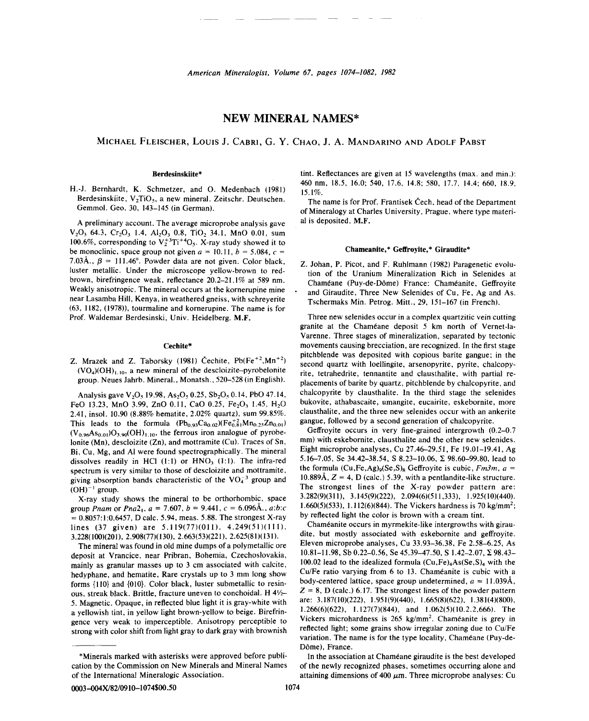# **NEW MINERAL NAMES\***

MICHAEL FLEISCHER, LOUIS J. CABRI, G. Y. CHAO, J. A. MANDARINO AND ADOLF PABST

### Berdesinskiite\*

H.-J. Bernhardt, K. Schmetzer, and O. Medenbach (1981) Berdesinskiite,  $V_2TiO_5$ , a new mineral. Zeitschr. Deutschen. Gemmol. Geo. 30, 143-145 (in German).

A preliminary account. The average microprobe analysis gave  $V_2O_3$  64.3,  $Cr_2O_3$  1.4,  $Al_2O_3$  0.8, TiO<sub>2</sub> 34.1, MnO 0.01, sum 100.6%, corresponding to  $V_2^{+3}Ti^{+4}O_5$ . X-ray study showed it to be monoclinic, space group not given  $a = 10.11$ ,  $b = 5.084$ ,  $c =$ 7.03Å.,  $\beta = 111.46^{\circ}$ . Powder data are not given. Color black, luster metallic. Under the microscope yellow-brown to redbrown, birefringence weak, reflectance 20.2-21.1% at 589 nm. Weakly anisotropic. The mineral occurs at the kornerupine mine near Lasamba Hill, Kenya, in weathered gneiss, with schreyerite (63, 1182, (1978)), tourmaline and kornerupine. The name is for Prof. Waldemar Berdesinski, Univ. Heidelberg. M.F.

### Cechite\*

Z. Mrazek and Z. Taborsky (1981) Čechite,  $Pb(Fe^{+2}, Mn^{+2})$  $(VO<sub>4</sub>)(OH)<sub>1,10</sub>$ , a new mineral of the descloizite-pyrobelonite group. Neues Jahrb. Mineral., Monatsh., 520-528 (in English).

Analysis gave  $V_2O_5$  19.98, As<sub>2</sub>O<sub>5</sub> 0.25, Sb<sub>2</sub>O<sub>5</sub> 0.14, PbO 47.14, FeO 13.23, MnO 3.99, ZnO 0.11, CaO 0.25, Fe<sub>2</sub>O<sub>3</sub> 1.45, H<sub>2</sub>O 2.41, insol. 10.90 (8.88% hematite, 2.02% quartz), sum 99.85%. This leads to the formula  $(Pb_{0.93}Ca_{0.02})(Fe_{0.81}^{+2}Mn_{0.25}Zn_{0.01})$  $(V_{0.96}As_{0.01})O_{3.90}(OH)_{1.10}$ , the ferrous iron analogue of pyrobelonite (Mn), descloizite (Zn), and mottramite (Cu). Traces of Sn, Bi, Cu, Mg, and AI were found spectrographically. The mineral dissolves readily in HCl  $(1:1)$  or  $HNO<sub>3</sub> (1:1)$ . The infra-red spectrum is very similar to those of descloizite and mottramite, giving absorption bands characteristic of the  $VO<sub>4</sub><sup>-3</sup>$  group and  $(OH)^{-1}$  group.

X-ray study shows the mineral to be orthorhombic, space group *Pnam* or *Pna* $2_1$ ,  $a = 7.607$ ,  $b = 9.441$ ,  $c = 6.096 \text{\AA}$ .,  $a:b:c$  $= 0.8057:1:0.6457$ , D calc. 5.94, meas. 5.88. The strongest X-ray lines (37 given) are 5.119(77)(011), 4.249(51)(111), 3.228(100)(201),2.908(77)(130),2.663(53)(221),2.625(81)(131).

The mineral was found in old mine dumps of a polymetallic ore deposit at Vrancice, near Pribran, Bohemia, Czechoslovakia, mainly as granular masses up to 3 cm associated with calcite, hedyphane, and hematite, Rare crystals up to 3 mm long show forms  $\{110\}$  and  $\{010\}$ . Color black, luster submetallic to resinous, streak black. Brittle, fracture uneven to conchoidal. H *4V2-* 5. Magnetic. Opaque, in reflected blue light it is gray-white with a yellowish tint, in yellow light brown-yellow to beige. Birefringence very weak to imperceptible. Anisotropy perceptible to strong with color shift from light gray to dark gray with brownish tint. Reflectances are given at 15 wavelengths (max. and min.): 460 nm, 18.5, 16.0; 540, 17.6, 14.8; 580, 17.7, 14.4; 660, 18.9, 15.1%.

The name is for Prof. Frantisek Čech, head of the Department of Mineralogy at Charles University, Prague, where type material is deposited. M.F.

# Chameanite,\* Geffroyite,\* Giraudite

Z. Johan, P. Picot, and F. Ruhlmann (1982) Paragenetic evolution of the Uranium Mineralization Rich in Selenides at Chaméane (Puy-de-Dôme) France: Chaméanite, Geffroyite and Giraudite, Three New Selenides of Cu, Fe, Ag and As. Tschermaks Min. Petrog. Mitt., 29, 151-167 (in French).

Three new selenides occur in a complex quartzitic vein cutting granite at the Chaméane deposit 5 km north of Vernet-la-Varenne. Three stages of mineralization, separated by tectonic movements causing brecciation, are recognized. In the first stage pitchblende was deposited with copious barite gangue; in the second quartz with loellingite, arsenopyrite, pyrite, chalcopyrite, tetrahedrite, tennantite and cIausthalite, with partial replacements of barite by quartz, pitchblende by chalcopyrite, and chalcopyrite by cIausthalite. In the third stage the selenides bukovite, athabascaite, umangite, eucairite, eskebornite, more cIausthalite, and the three new selenides occur with an ankerite gangue, followed by a second generation of chalcopyrite.

Geffroyite occurs in very fine-grained intergrowth (0.2-0.7 mm) with eskebornite, cIausthalite and the other new selenides. Eight microprobe analyses, Cu 27.46-29.51, Fe 19.01-19.41, Ag 5.16-7.05, Se 34.42-38.54, S 8.23-10.06,  $\Sigma$  98.60-99.80, lead to the formula  $(Cu,Fe,Ag)<sub>9</sub>(Se, S)<sub>8</sub> Geffroytic is cubic, *Fm3m*,  $a =$$ 10.889Å,  $Z = 4$ , D (calc.) 5.39, with a pentlandite-like structure. The strongest lines of the X-ray powder pattern are:  $3.282(9)(311), \quad 3.145(9)(222), \quad 2.094(6)(511,333), \quad 1.925(10)(440).$ 1.660(5)(533), 1.112(6)(844). The Vickers hardness is 70 kg/mm2; by reflected light the color is brown with a cream tint.

Chameanite occurs in myrmekite-like intergrowths with giraudite, but mostly associated with eskebornite and geffroyite. Eleven microprobe analyses, Cu 33.93-36.38, Fe 2.58-6.25, As  $10.81-11.98$ , Sb 0.22-0.56, Se 45.39-47.50, S 1.42-2.07,  $\Sigma$  98.43-100.02 lead to the idealized formula  $(Cu,Fe)<sub>4</sub>As(Se, S)<sub>4</sub>$  with the Cu/Fe ratio varying from 6 to 13. Chaméanite is cubic with a body-centered lattice, space group undetermined,  $a = 11.039\text{\AA}$  $Z = 8$ , D (calc.) 6.17. The strongest lines of the powder pattern are: 3.187(10)(222), 1.951(9)(440), 1.665(8)(622), 1.381(4)(800), 1.266(6)(622), 1.127(7)(844), and 1.062(5)(10.2.2,666). The Vickers microhardness is 265 kg/mm<sup>2</sup>. Chaméanite is grey in reflected light; some grains show irregular zoning due to Cu/Fe variation. The name is for the type locality, Chaméane (Puy-de-Dôme). France.

In the association at Chaméane giraudite is the best developed of the newly recognized phases, sometimes occurring alone and attaining dimensions of 400  $\mu$ m. Three microprobe analyses: Cu

<sup>\*</sup>Minerals marked with asterisks were approved before publication by the Commission on New Minerals and Mineral Names of the International Mineralogic Association.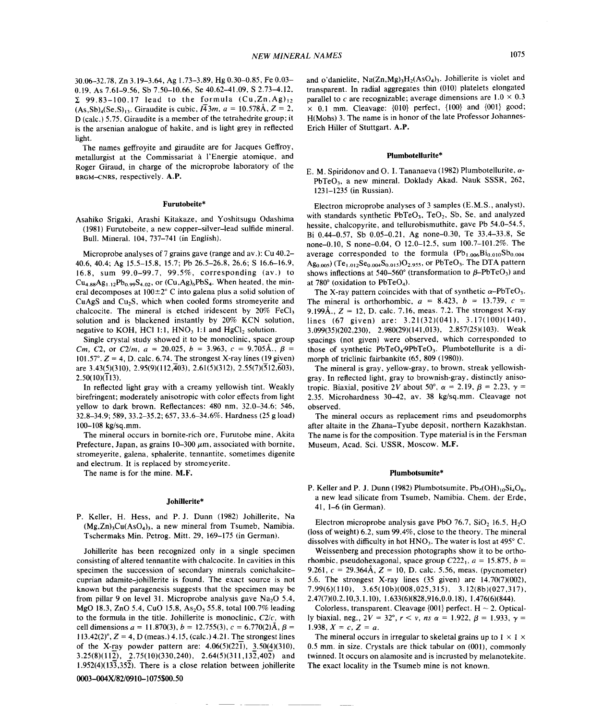The names geffroyite and giraudite are for Jacques Geffroy, metallurgist at the Commissariat a I'Energie atomique, and Roger Giraud, in charge of the microprobe laboratory of the BRGM-CNRS, respectively. A.P.

#### Furutobeite\*

Asahiko Srigaki, Arashi Kitakaze, and Yoshitsugu Odashima (1981) Furutobeite, a new copper-silver-lead sulfide mineral. Bull. Mineral. 104, 737-741 (in English).

Microprobe analyses of? grains gave (range and av.): Cu 40.2- 40.6, 40.4; Ag 15.5-15.8, 15.7; Pb 26.5-26.8, 26.6; S 16.6-16.9, 16.8, sum 99.0-99.7, 99.5%, corresponding (av.) to  $Cu_{4.88}Ag_{1.12}Pb_{0.99}S_{4.02}$ , or  $(Cu, Ag)_6PbS_4$ . When heated, the mineral decomposes at  $100\pm2^{\circ}$  C into galena plus a solid solution of CuAgS and CU2S, which when cooled forms stromeyerite and chalcocite. The mineral is etched iridescent by  $20\%$  FeCl<sub>3</sub> solution and is blackened instantly by 20% KCN solution, negative to KOH, HCl 1:1,  $HNO<sub>3</sub>$  1:1 and  $HgCl<sub>2</sub>$  solution.

Single crystal study showed it to be monoclinic, space group *Cm, C2,* or *C2/m,*  $a = 20.025$ ,  $b = 3.963$ ,  $c = 9.705$ Å.,  $\beta =$ 101.57°.  $Z = 4$ , D. calc. 6.74. The strongest X-ray lines (19 given) are 3.43(5)(310), 2.95(9)(112, $\overline{4}03$ ), 2.61(5)(312), 2.55(7)( $\overline{5}12,\overline{6}03$ ),  $2.50(10)(\overline{1}13)$ .

In reflected light gray with a creamy yellowish tint. Weakly birefringent; moderately anisotropic with color effects from light yellow to dark brown. Reflectances: 480 nm, 32.0-34.6; 546, 32.8-34.9; 589, 33.2-35.2; 657, 33.6-34.6%. Hardness (25 g load) 100-108 kg/sq.mm.

The mineral occurs in bornite-rich ore, Furutobe mine, Akita Prefecture, Japan, as grains  $10-300 \mu m$ , associated with bornite, stromeyerite, galena, sphalerite, tennantite, sometimes digenite and electrum. It is replaced by stromeyerite.

The name is for the mine. M.F.

#### JohiIlerite\*

P. Keller, H. Hess, and P. J. Dunn (1982) Johillerite, Na  $(Mg,Zn)$ <sub>3</sub>Cu(AsO<sub>4</sub>)<sub>3</sub>, a new mineral from Tsumeb, Namibia. Tschermaks Min. Petrog. Mitt. 29, 169-175 (in German).

Johillerite has been recognized only in a single specimen consisting of altered tennantite with chalcocite. In cavities in this specimen the succession of secondary minerals conichalcitecuprian adamite-johillerite is found. The exact source is not known but the paragenesis suggests that the specimen may be from pillar 9 on level 31. Microprobe analysis gave  $Na<sub>2</sub>O$  5.4, MgO 18.3, ZnO 5.4, CuO 15.8, As<sub>2</sub>O<sub>5</sub> 55.8, total 100.7% leading to the formula in the title. Johillerite is monoclinic, *C2/c,* with cell dimensions  $a = 11.870(3)$ ,  $b = 12.755(3)$ ,  $c = 6.770(2)$ Å,  $\beta =$  $113.42(2)^\circ$ ,  $Z = 4$ , D (meas.)  $4.15$ , (calc.)  $4.21$ . The strongest lines of the X-ray powder pattern are:  $4.06(5)(221)$ ,  $3.50(4)(310)$ , 3.25(8)(112), 2.75(10)(330,240), 2.64(5)(311,132,402) and 1.952(4)(133,352). There is a close relation between johillerite

---

0003-004X/82/0910-1075\$00.50

and o'danielite,  $Na(Zn, Mg)_3H_2(AsO_4)_3$ . Johillerite is violet and transparent. In radial aggregates thin (010) platelets elongated parallel to *c* are recognizable; average dimensions are  $1.0 \times 0.3$  $\times$  0.1 mm. Cleavage: {010} perfect, {100} and {001} good; H(Mohs) 3. The name is in honor of the late Professor Johannes-Erich Hiller of Stuttgart. A.P.

# Plumbotellurite\*

E. M. Spiridonov and O. I. Tananaeva (1982) Plumbotellurite, *a-*PbTeO<sub>3</sub>, a new mineral. Doklady Akad. Nauk SSSR, 262, 1231-1235 (in Russian).

Electron microprobe analyses of 3 samples (E.M.S., analyst), with standards synthetic  $PbTeO<sub>3</sub>$ ,  $TeO<sub>2</sub>$ , Sb, Se, and analyzed hessite, chalcopyrite, and tellurobismuthite, gave Pb 54.0-54.5, Bi 0.44-0.57, Sb 0.05-0.21, Ag none-0.30, Te 33.4-33.8, Se none-O.IO, S none-0.04, 0 12.0-12.5, sum 100.7-101.2%. The average corresponded to the formula  $(Pb_{1.006}Bi_{0.010}Sb_{0.004})$  $Ag_{0.005}$ ) (Te<sub>1.012</sub>Se<sub>0.004</sub>S<sub>0.015</sub>)O<sub>2.955</sub>, or PbTeO<sub>3</sub>. The DTA pattern shows inflections at 540-560° (transformation to  $\beta$ -PbTeO<sub>3</sub>) and at  $780^\circ$  (oxidation to PbTeO<sub>4</sub>).

The X-ray pattern coincides with that of synthetic  $\alpha$ -PbTeO<sub>3</sub>. The mineral is orthorhombic,  $a = 8.423$ ,  $b = 13.739$ ,  $c =$ 9.199Å.,  $Z = 12$ , D. calc. 7.16, meas. 7.2. The strongest X-ray lines (67 given) are: 3.21(32)(041), 3.17(100)(140), 3.099(35)(202,230), 2.980(29)(141,013), 2.857(25)(103). Weak spacings (not given) were observed, which corresponded to those of synthetic  $PbTeO_4$ .9PbTe $O_3$ . Plumbotellurite is a dimorph of triclinic fairbankite (65, 809 (1980)).

The mineral is gray, yellow-gray, to brown, streak yellowishgray. In reflected light, gray to brownish-gray, distinctly anisotropic. Biaxial, positive 2V about 50°,  $\alpha = 2.19$ ,  $\beta = 2.23$ ,  $\gamma =$ 2.35. Microhardness 30-42, av. 38 kg/sq.mm. Cleavage not observed.

The mineral occurs as replacement rims and pseudomorphs after altaite in the Zhana-Tyube deposit, northern Kazakhstan. The name is for the composition. Type material is in the Fersman Museum, Acad. Sci. USSR, Moscow. M.F.

#### Plumbotsumite\*

P. Keller and P. J. Dunn (1982) Plumbotsumite,  $Pb_5(OH)_{10}Si_4O_8$ , a new lead silicate from Tsumeb, Namibia. Chem. der Erde, 41, 1-6 (in German).

Electron microprobe analysis gave PbO 76.7, SiO<sub>2</sub> 16.5, H<sub>2</sub>O (loss of weight) 6.2, sum 99.4%, close to the theory. The mineral dissolves with difficulty in hot  $HNO<sub>3</sub>$ . The water is lost at 495 $^{\circ}$  C.

Weissenberg and precession photographs show it to be orthorhombic, pseudohexagonal, space group  $C222_1$ ,  $a = 15.875$ ,  $b =$ 9.261,  $c = 29.364\text{\AA}$ ,  $Z = 10$ , D. calc. 5.56, meas. (pycnomete 5.6. The strongest X-ray lines (35 given) are 14.70(7)(002), 7.99(6)(110),  $3.65(10b)(008,025,315)$ ,  $3.12(8b)(027,317)$ , 2.47(7)(0.2.10,3.1.10), 1.633(6)(828,916,0.0.18), 1.476(6)(844).

Colorless, transparent. Cleavage  $\{001\}$  perfect. H  $\sim$  2. Optically biaxial, neg.,  $2V = 32^{\circ}$ ,  $r < v$ , *ns*  $\alpha = 1.922$ ,  $\beta = 1.933$ ,  $\gamma =$ 1.938,  $X = c$ ,  $Z = a$ 

The mineral occurs in irregular to skeletal grains up to  $1 \times 1 \times$ 0.5 mm. in size. Crystals are thick tabular on (001), commonly twinned. It occurs on alamosite and is incrusted by melanotekite. The exact locality in the Tsumeb mine is not known.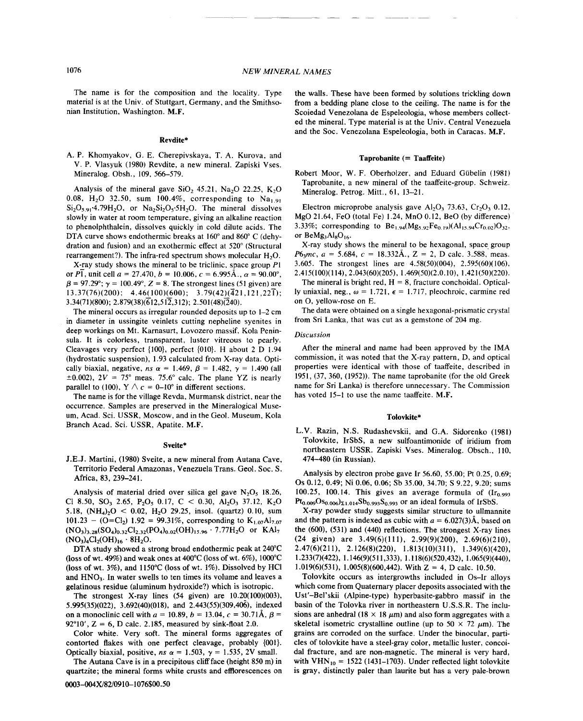The name is for the composition and the locality. Type material is at the Univ. of Stuttgart, Germany, and the Smithsonian Institution, Washington. M.F.

#### Revdite\*

A. P. Khomyakov, G. E. Cherepivskaya, T. A. Kurova, and V. P. Vlasyuk (1980) Revdite, a new mineral. Zapiski Vses. Mineralog. Obsh., 109, 566-579.

Analysis of the mineral gave SiO<sub>2</sub> 45.21, Na<sub>2</sub>O 22.25, K<sub>2</sub>O 0.08, H<sub>2</sub>O 32.50, sum 100.4%, corresponding to Na<sub>1.91</sub>  $Si<sub>2</sub>O<sub>5.91</sub>$ .4.79H<sub>2</sub>O, or  $Na<sub>2</sub>Si<sub>2</sub>O<sub>5</sub>$ . The mineral dissolves slowly in water at room temperature, giving an alkaline reaction to phenolphthalein, dissolves quickly in cold dilute acids. The DTA curve shows endothermic breaks at 160° and 860° C (dehydration and fusion) and an exothermic effect at 520° (Structural rearrangement?). The infra-red spectrum shows molecular  $H<sub>2</sub>O$ .

X-ray study shows the mineral to be triclinic, space group *PI* or P1, unit cell  $a = 27.470$ ,  $b = 10.006$ ,  $c = 6.995$ A.,  $\alpha = 90.00^{\circ}$  $\beta = 97.29^{\circ}$ ;  $\gamma = 100.49^{\circ}$ ,  $Z = 8$ . The strongest lines (51 given) are  $13.37(76)(200); 4.46(100)(600); 3.79(42)(421,121,221);$ 3.34(71)(800); 2.879(38)(612,512,312); 2.501(48)(240).

The mineral occurs as irregular rounded deposits up to 1-2 em in diameter in ussingite veinlets cutting nepheline syenites in deep workings on Mt. Karnasurt, Lovozero massif, Kola Peninsula. It is colorless, transparent, luster vitreous to pearly. Cleavages very perfect {100}, perfect {01O}. H about 2 D 1.94 (hydrostatic suspension), 1.93 calculated from X-ray data. Optically biaxial, negative,  $ns \alpha = 1.469$ ,  $\beta = 1.482$ ,  $\gamma = 1.490$  (all  $\pm 0.002$ ),  $2V = 75^{\circ}$  meas. 75.6° calc. The plane YZ is nearly parallel to (100),  $Y \wedge c = 0$ –10° in different sections.

The name is for the village Revda. Murmansk district, near the occurrence. Samples are preserved in the Mineralogical Museum, Acad. Sci. USSR, Moscow, and in the Geol. Museum, Kola Branch Acad. Sci. USSR, Apatite. M.F.

### Sveite\*

J.E.J. Martini, (1980) Sveite, a new mineral from Autana Cave, Territorio Federal Amazonas, Venezuela Trans. Geol. Soc. S. Africa, 83, 239-241.

Analysis of material dried over silica gel gave  $N_2O_5$  18.26, Cl 8.50, SO<sub>3</sub> 2.65, P<sub>2</sub>O<sub>5</sub> 0.17, C < 0.30, Al<sub>2</sub>O<sub>3</sub> 37.12, K<sub>2</sub>O 5.18,  $(NH_4)_2O < 0.02$ ,  $H_2O$  29.25, insol. (quartz) 0.10, sum  $101.23 - (O=Cl_2)$  1.92 = 99.31%, corresponding to  $K_{1.07}Al_{7.07}$  $(NO_3)_{3.28} (SO_4)_{0.32} Cl_{2.32} (PO_4)_{0.02} (OH)_{15.96} \cdot 7.77 H_2 O$  or  $KAl_7$  $(NO<sub>3</sub>)<sub>4</sub>Cl<sub>2</sub>(OH)<sub>16</sub> · 8H<sub>2</sub>O.$ 

DTA study showed a strong broad endothermic peak at 240°C (loss of wt. 49%) and weak ones at  $400^{\circ}$ C (loss of wt. 6%), 1000 $^{\circ}$ C (loss of wt. 3%), and 1150°C (loss of wt. 1%). Dissolved by HCI and HNO<sub>3</sub>. In water swells to ten times its volume and leaves a gelatinous residue (aluminum hydroxide?) which is isotropic.

The strongest X-ray lines  $(54 \text{ given})$  are  $10.20(100)(003)$ , 5.995(35)(022), 3.692(40)(018), and 2.443(55)(309,406), indexed on a monoclinic cell with  $a = 10.89$ ,  $b = 13.04$ ,  $c = 30.71\text{\AA}$ ,  $\beta =$  $92^{\circ}10'$ ,  $Z = 6$ , D calc. 2.185, measured by sink-float 2.0

Color white. Very soft. The mineral forms aggregates of contorted flakes with one perfect cleavage, probably {001}. Optically biaxial, positive,  $ns \alpha = 1.503$ ,  $\gamma = 1.535$ , 2V small.

The Autana Cave is in a precipitous cliff face (height 850 m) in quartzite; the mineral forms white crusts and efflorescences on the walls. These have been formed by solutions trickling down from a bedding plane close to the ceiling. The name is for the Scoiedad Venezolana de Espeleologia, whose members collected the mineral. Type material is at the Univ. Central Venezuela and the Soc. Venezolana Espeleologia, both in Caracas. M.F.

### $Taprobanite (= Taaffeite)$

Robert Moor, W. F. Oberholzer, and Eduard Giibelin (1981) Taprobanite, a new mineral of the taaffeite-group. Schweiz. Mineralog. Petrog. Mitt., 61, 13-21.

Electron microprobe analysis gave  $Al_2O_3$ , 73.63, Cr<sub>2</sub>O<sub>3</sub> 0.12, MgO 21.64, FeO (total Fe) 1.24, MnO 0.12, BeO (by difference) 3.33%; corresponding to  $Be_{1.94}(Mg_{5.92}Fe_{0.19})(Al_{15.94}Cr_{0.02})O_{32}$ , or  $Bemg_3Al_8O_{16}$ .

X-ray study shows the mineral to be hexagonal, space group  $P6_3mc$ ,  $a = 5.684$ ,  $c = 18.332\text{\AA}$ .,  $Z = 2$ , D calc. 3.588, meas. 3.605. The strongest lines are 4.58(50)(004), 2.595(60)(106), 2.415(100)(114),2.043(60)(205), 1.469(50)(2.0.10), 1.421(50)(220).

The mineral is bright red,  $H = 8$ , fracture conchoidal. Optical ly uniaxial, neg.,  $\omega = 1.721$ ,  $\epsilon = 1.717$ , pleochroic, carmine red on 0, yellow-rose on E.

The data were obtained on a single hexagonal-prismatic crystal from Sri Lanka, that was cut as a gemstone of 204 mg.

# *Discussion*

After the mineral and name had been approved by the 1MA commission, it was noted that the X-ray pattern, D, and optical properties were identical with those of taaffeite, described in 1951, (37, 360, (1952)). The name taprobanite (for the old Greek name for Sri Lanka) is therefore unnecessary. The Commission has voted 15-1 to use the name taaffeite. M.F.

### Tolovkite\*

L.V. Razin, N.S. Rudashevskii, and G.A. Sidorenko (1981) Tolovkite, IrSbS, a new sulfoantimonide of iridium from northeastern USSR. Zapiski Vses. Mineralog. Obsch., 110, 474-480 (in Russian).

Analysis by electron probe gave Ir 56.60, 55.00; Pt 0.25, 0.69; Os 0.12,0.49; Ni 0.06, 0.06; Sb 35.00, 34.70; S 9.22, 9.20; sums 100.25, 100.14. This gives an average formula of  $(Ir_{0.993})$  $Pt_{0.009}Os_{0.006}S_{1.014}Sb_{0.993}S_{0.993}$  or an ideal formula of IrSbS.

X-ray powder study suggests similar structure to ullmannite and the pattern is indexed as cubic with  $a = 6.027(3)$ Å, based on the (600), (531) and (440) reflections. The strongest X-ray lines (24 given) are 3.49(6)(111), 2.99(9)(200), 2.69(6)(210), 2.47(6)(211), 2.126(8)(220), 1.813(10)(311), 1.349(6)(420), 1.233(7)(422), 1.146(9)(511 ,333), 1.118(6)(520,432), 1.065(9)(440), 1.019(6)(531), 1.005(8)(600,442). With  $Z = 4$ , D calc. 10.50.

Tolovkite occurs as intergrowths included in Os-Ir alloys which come from Quaternary placer deposits associated with the Ust'-Bel'skii (Alpine-type) hyperbasite-gabbro massif in the basin of the Tolovka river in northeastern U.S.S.R. The inclusions are anhedral (18  $\times$  18  $\mu$ m) and also form aggregates with a skeletal isometric crystalline outline (up to  $50 \times 72 \mu$ m). The grains are corroded on the surface. Under the binocular, particles of tolovkite have a steel-gray color, metallic luster, concoida1 fracture, and are non-magnetic. The mineral is very hard, with  $VHN_{10} = 1522$  (1431-1703). Under reflected light tolovkite is gray, distinctly paler than laurite but has a very pale-brown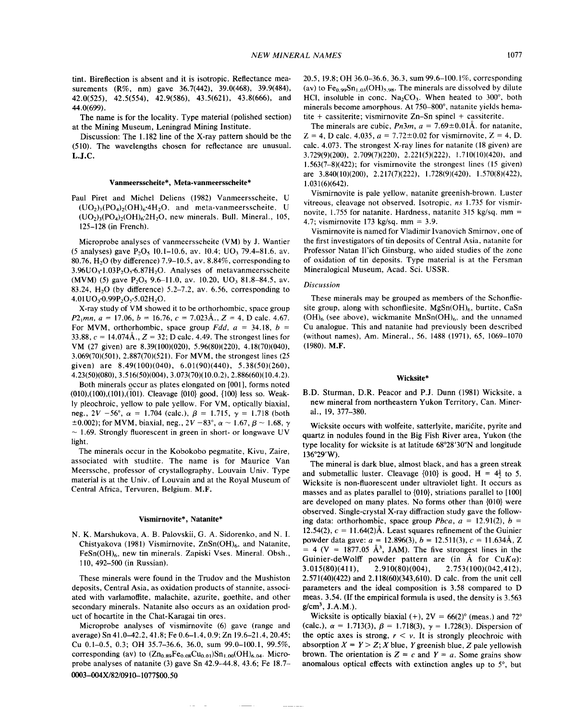tint. Bireflection is absent and it is isotropic. Reflectance measurements (R%, nm) gave 36.7(442), 39.0(468), 39.9(484), 42.0(525), 42.5(554), 42.9(586), 43.5(621), 43.8(666), and 44.0(699).

The name is for the locality. Type material (polished section) at the Mining Museum, Leningrad Mining Institute.

Discussion: The 1.182 line of the X-ray pattern should be the (510). The wavelengths chosen for reflectance are unusual. L.J.C.

# Vanmeersscheite\*, Meta-vanmeersscheite\*

Paul Piret and Michel Deliens (1982) Vanmeersscheite, U  $(UO<sub>2</sub>)<sub>3</sub>(PO<sub>4</sub>)<sub>2</sub>(OH)<sub>6</sub>·4H<sub>2</sub>O$ , and meta-vanmeersscheite, U  $(UO<sub>2</sub>)<sub>3</sub>(PO<sub>4</sub>)<sub>2</sub>(OH)<sub>6</sub>·2H<sub>2</sub>O$ , new minerals. Bull. Mineral., 105, 125-128 (in French).

Microprobe analyses of vanmeersscheite (VM) by J. Wantier (5 analyses) gave  $P_2O_5$  10.1-10.6, av. 10.4; UO<sub>3</sub> 79.4-81.6, av. 80.76, H<sub>2</sub>O (by difference) 7.9–10.5, av. 8.84%, corresponding to  $3.96UO_3$ '1.03P<sub>2</sub>O<sub>5</sub>'6.87H<sub>2</sub>O. Analyses of metavanmeersscheite (MVM) (5) gave  $P_2O_5$  9.6-11.0, av. 10.20, UO<sub>3</sub> 81.8-84.5, av. 83.24,  $H<sub>2</sub>O$  (by difference) 5.2–7.2, av. 6.56, corresponding to  $4.01UO<sub>3</sub>·0.99P<sub>2</sub>O<sub>5</sub>·5.02H<sub>2</sub>O.$ 

X-ray study ofVM showed it to be orthorhombic, space group  $P2_1mn$ ,  $a = 17.06$ ,  $b = 16.76$ ,  $c = 7.023$ Å.,  $Z = 4$ , D calc. 4.67. For MVM, orthorhombic, space group *Fdd.*  $a = 34.18$ ,  $b =$ 33.88,  $c = 14.074 \text{Å}$ .,  $Z = 32$ ; D calc. 4.49. The strongest lines for VM (27 given) are 8.39(100)(020), 5.96(80)(220), 4.18(70)(040), 3.069(70)(501), 2.887(70)(521). For MVM, the strongest lines (25 given) are  $8.49(100)(040)$ ,  $6.01(90)(440)$ ,  $5.38(50)(260)$ , 4.23(50)(080),3.516(50)(004), 3.073(70)(10.0.2), 2.886(60)(10.4.2).

Both minerals occur as plates elongated on [001], forms noted (010),(100),(101),(101). Cleavage {010} good, {100} less so. Weakly pleochroic, yellow to pale yellow. For VM, optically biaxial, neg.,  $2V - 56^{\circ}$ ,  $\alpha = 1.704$  (calc.),  $\beta = 1.715$ ,  $\gamma = 1.718$  (both  $\pm 0.002$ ; for MVM, biaxial, neg.,  $2V - 83^{\circ}$ ,  $\alpha \sim 1.67$ ,  $\beta \sim 1.68$ ,  $\gamma$  $\sim$  1.69. Strongly fluorescent in green in short- or longwave UV light.

The minerals occur in the Kobokobo pegmatite, Kivu, Zaire, associated with studtite. The name is for Maurice Van Meerssche, professor of crystallography, Louvain Univ. Type material is at the Univ. of Louvain and at the Royal Museum of Central Africa, Tervuren, Belgium. M.F.

#### Vismirnovite\*, Natanite\*

N. K. Marshukova, A. B. Palovskii, G. A. Sidorenko, and N. I. Chistyakova (1981) Vismirnovite,  $ZnSn(OH)_{6}$ , and Natanite, FeSn(OH)<sub>6</sub>, new tin minerals. Zapiski Vses. Mineral. Obsh., 110, 492-500 (in Russian).

These minerals were found in the Trudov and the Mushiston deposits, Central Asia, as oxidation products of stannite, associated with varlamoffite, malachite, azurite, goethite, and other secondary minerals. Natanite also occurs as an oxidation product of hocartite in the Chat-Karagai tin ores.

Microprobe analyses of vismirnovite (6) gave (range and average) Sn 41.0-42.2, 41.8; Fe 0.6-1.4, 0.9; Zn 19.6-21.4, 20.45; Cu 0.1-0.5, 0.3; OH 35.7-36.6, 36.0, sum 99.0-100.1, 99.5%, corresponding (av) to  $(Zn_0.89Fe_0.08Cu_0.01)Sn_{1.00}(OH)_{6.04}$ . Microprobe analyses of natanite (3) gave Sn 42.9-44.8, 43.6; Fe 18.7- 0003-004X/82/0910-1077\$00.50

20.5,19.8; OH 36.0-36.6, 36.3, sum 99.6-100.1%, corresponding (av) to  $Fe_{0.99}Sn_{1.03}(OH)_{5.98}$ . The minerals are dissolved by dilute HCl, insoluble in conc.  $Na<sub>2</sub>CO<sub>3</sub>$ . When heated to 300°, both minerals become amorphous. At 750-800°, natanite yields hematite + cassiterite; vismirnovite Zn-Sn spinel + cassiterite.

The minerals are cubic,  $Pn3m$ ,  $a = 7.69 \pm 0.01$ Å. for natanite,  $Z = 4$ , D calc. 4.035,  $a = 7.72 \pm 0.02$  for vismirnovite,  $Z = 4$ , D. calc. 4.073. The strongest X-ray lines for natanite (18 given) are 3.729(9)(200), 2.709(7)(220), 2.221(5)(222), 1.710(10)(420), and 1.563(7-8)(422); for vismirnovite the strongest lines (15 given) are 3.840(10)(200), 2.217(7)(222), 1.728(9)(420), 1.570(8)(422), 1.031(6)(642).

Vismirnovite is pale yellow, natanite greenish-brown. Luster vitreous, cleavage not observed. Isotropic, *ns* 1.735 for vismirnovite, 1.755 for natanite. Hardness, natanite 315 kg/sq. mm = 4.7; vismirnovite 173 kg/sq. mm =  $3.9$ .

Vismirnovite is named for Vladimir Ivanovich Smirnov, one of the first investigators of tin deposits of Central Asia, natanite for Professor Natan Il'ich Ginsburg, who aided studies of the zone of oxidation of tin deposits. Type material is at the Fersman Mineralogical Museum, Acad. Sci. USSR.

#### *Discussion*

These minerals may be grouped as members of the Schonfliesite group, along with schonfliesite,  $MgSn(OH)_{6}$ , burtite, CaSn  $(OH)_{6}$  (see above), wickmanite MnSn $(OH)_{6}$ , and the unnamed Cu analogue. This and natanite had previously been described (without names), Am. Mineral., 56, 1488 (1971), 65, 1069-1070 (1980). M.F.

#### Wicksite\*

B.D. Sturman, D.R. Peacor and P.J. Dunn (1981) Wicksite, a new mineral from northeastern Yukon Territory, Can. Mineral., 19,377-380.

Wicksite occurs with wolfeite, satterlyite, maricite, pyrite and quartz in nodules found in the Big Fish River area, Yukon (the type locality for wicksite is at latitude 68°28'30"N and longitude 136°29'W).

The mineral is dark blue, almost black, and has a green streak and submetallic luster. Cleavage  $\{010\}$  is good, H =  $4\frac{1}{2}$  to 5. Wicksite is non-fluorescent under ultraviolet light. It occurs as masses and as plates parallel to  $\{010\}$ , striations parallel to  $[100]$ are developed on many plates. No forms other than  $\{010\}$  were observed. Single-crystal X-ray diffraction study gave the following data: orthorhombic, space group *Pbca*,  $a = 12.91(2)$ ,  $b =$ 12.54(2),  $c = 11.64(2)$ Å. Least squares refinement of the Guinie powder data gave: *a* = 12.896(3), *b* = 12.511(3), *c* = 11.634A, Z  $= 4$  (V = 1877.05 Å<sup>3</sup>, JAM). The five strongest lines in the Guinier-deWolff powder pattern are (in Å for Cu*Ka*):<br>3.015(80)(411), 2.910(80)(004), 2.753(100)(042,412), 3.015(80)( 411), 2.910(80)(004), 2.753(100)(042,412), 2.571(40)(422) and 2.118(60)(343,610). D calc. from the unit cell parameters and the ideal composition is 3.58 compared to D meas. 3.54. (If the empirical formula is used, the density is 3.563  $g/cm^3$ , J.A.M.).

Wicksite is optically biaxial  $(+)$ ,  $2V = 66(2)°$  (meas.) and  $72°$ (calc.),  $\alpha = 1.713(3)$ ,  $\beta = 1.718(3)$ ,  $\gamma = 1.728(3)$ . Dispersion of the optic axes is strong,  $r \le v$ . It is strongly pleochroic with absorption  $X = Y > Z$ ; *X* blue, *Y* greenish blue, *Z* pale yellowish brown. The orientation is  $Z = c$  and  $Y = a$ . Some grains show anomalous optical effects with extinction angles up to 5°, but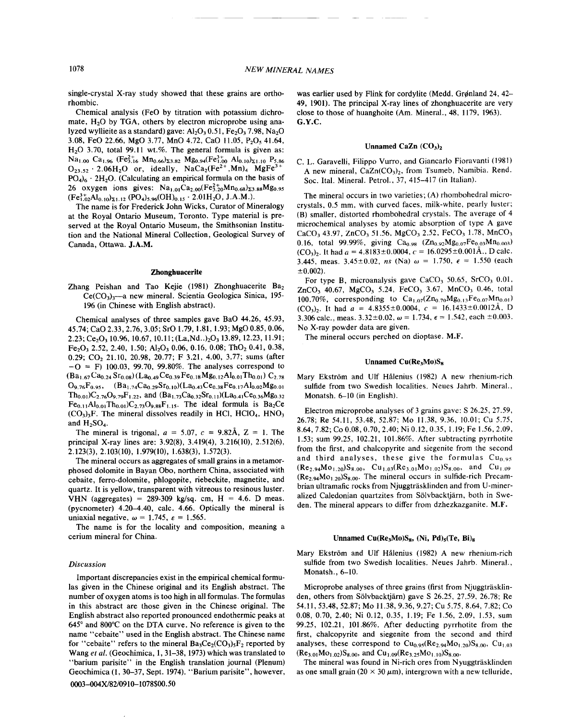single-crystal X-ray study showed that these grains are orthorhombic.

Chemical analysis (FeO by titration with potassium dichromate,  $H<sub>2</sub>O$  by TGA, others by electron microprobe using analyzed wyllieite as a standard) gave:  $A<sub>1</sub>, O<sub>3</sub> 0.51, Fe<sub>2</sub>O<sub>3</sub> 7.98, Na<sub>2</sub>O$ 3.08, FeO 22.66, MgO 3.77, MnO 4.72, CaO 11.05, P<sub>2</sub>O<sub>5</sub> 41.64, H<sub>2</sub>O 3.70, total 99.11 wt.%. The general formula is given as:  $Na_{1.00}$  Ca<sub>1.96</sub> (Fe<sub>3.16</sub> Mn<sub>0.66</sub>)<sub>23.82</sub> Mg<sub>0.94</sub>(Fe<sub>1.00</sub> Al<sub>0.10</sub>)<sub>21.10</sub> P<sub>5.86</sub><br>O<sub>23.52</sub> · 2.06H<sub>2</sub>O or, ideally, NaCa<sub>2</sub>(Fe<sup>2+</sup>,Mn)<sub>4</sub> MgFe<sup>3+</sup>  $PO<sub>4</sub>$ <sub>6</sub> · 2H<sub>2</sub>O. (Calculating an empirical formula on the basis of 26 oxygen ions gives:  $Na_{1.01}Ca_{2.00}(Fe_{3.20}^{2+}Mn_{0.68})_{23.88}Mg_{0.95}$  $(Fe_{1,02}^{3+}Al_{0,10})_{\Sigma1,12} (PO_4)_{5,96} (OH)_{0.15} \cdot 2.01H_2O, J.A.M.).$ 

The name is for Frederick John Wicks, Curator of Mineralogy at the Royal Ontario Museum, Toronto. Type material is preserved at the Royal Ontario Museum, the Smithsonian Institution and the National Mineral Collection, Geological Survey of Canada, Ottawa. J.A.M.

# Zhonghuacerite

Zhang Peishan and Tao Kejie (1981) Zhonghuacerite Ba<sub>2</sub>  $Ce(CO<sub>3</sub>)<sub>3</sub>$ -a new mineral. Scientia Geologica Sinica, 195-196 (in Chinese with English abstract).

Chemical analyses of three samples gave BaO 44.26, 45.93, 45.74; CaO 2.33, 2.76, 3.05; srO 1.79, 1.81, 1.93; MgO 0.85, 0.06,  $2.23$ ; Ce<sub>2</sub>O<sub>3</sub> 10.96, 10.67, 10.11; (La,Nd..)<sub>2</sub>O<sub>3</sub> 13.89, 12.23, 11.91;  $Fe<sub>2</sub>O<sub>3</sub> 2.52, 2.40, 1.50; Al<sub>2</sub>O<sub>3</sub> 0.06, 0.16, 0.08; ThO<sub>2</sub> 0.41, 0.38,$ 0.29; CO<sub>2</sub> 21.10, 20.98, 20.77; F 3.21, 4.00, 3.77; sums (after  $-O = F$ ) 100.03, 99.70, 99.80%. The analyses correspond to  $(Ba_{1.67}Ca_{0.24}Sr_{0.08})(La_{0.49}Ce_{0.39}Fe_{0.18}Mg_{0.12}Al_{0.01}Th_{0.01})C_{2.78}$  $O_{9.76}F_{0.95}$ ,  $(Ba_{1.74}Ca_{0.29}Sr_{0.10})(La_{0.43}Ce_{0.38}Fe_{0.17}Al_{0.02}Mg_{0.01}$  $Th_{0.01}$ )C<sub>2.76</sub>O<sub>9.79</sub>F<sub>1.22</sub>, and (Ba<sub>1.73</sub>Ca<sub>0.32</sub>Sr<sub>0.11</sub>)(La<sub>0.41</sub>Ce<sub>0.36</sub>Mg<sub>0.32</sub>  $Fe_{0.11}Al_{0.01}Th_{0.01}C_{2.73}O_{9.88}F_{1.15}$ . The ideal formula is Ba<sub>2</sub>Ce  $(CO<sub>3</sub>)<sub>3</sub>F$ . The mineral dissolves readily in HCl, HClO<sub>4</sub>, HNO<sub>3</sub> and  $H_2SO_4$ .

The mineral is trigonal,  $a = 5.07$ ,  $c = 9.82A$ ,  $Z = 1$ . The principal X-ray lines are: 3.92(8), 3.419(4), 3.216(10), 2.512(6), 2.123(3), 2.103(10), 1.979(10), 1.638(3), 1.572(3).

The mineral occurs as aggregates of small grains in a metamorphosed dolomite in Bayan Obo, northern China, associated with cebaite, ferro-dolomite, phlogopite, riebeckite, magnetite, and quartz. It is yellow, transparent with vitreous to resinous luster. VHN (aggregates) =  $289-309$  kg/sq. cm,  $H = 4.6$ . D meas. (pycnometer) 4.20-4.40, calc. 4.66. Optically the mineral is uniaxial negative,  $\omega = 1.745$ ,  $\varepsilon = 1.565$ .

The name is for the locality and composition, meaning a cerium mineral for China.

### *Discussion*

Important discrepancies exist in the empirical chemical formulas given in the Chinese original and its English abstract. The number of oxygen atoms is too high in all formulas. The formulas in this abstract are those given in the Chinese original. The English abstract also reported pronounced endothermic peaks at 645° and 800°C on the DTA curve. No reference is given to the name "cebaite" used in the English abstract. The Chinese name for "cebaite" refers to the mineral  $Ba_3Ce_2(CO_3)_5F_2$  reported by Wang et al. (Geochimica, 1, 31-38, 1973) which was translated to "barium parisite" in the English translation journal (Plenum) Geochimica (1, 30-37, Sept. 1974). "Barium parisite", however,

was earlier used by Flink for cordylite (Medd. Grønland 24, 42-49, 1901). The principal X-ray lines of zhonghuacerite are very close to those of huanghoite (Am. Mineral., 48, 1179, 1963). G.Y.C.

### Unnamed CaZn  $(CO_3)_2$

C. L. Garavelli, Filippo Vurro, and Giancarlo Fioravanti (1981) A new mineral,  $CaZn(CO<sub>3</sub>)<sub>2</sub>$ , from Tsumeb, Namibia. Rend. Soc. Ital. Mineral. Petrol., 37, 415-417 (in Italian).

The mineral occurs in two varieties; (A) rhombohedral microcrystals, 0.5 mm, with curved faces, milk-white, pearly luster; (B) smaller, distorted rhombohedral crystals. The average of 4 microchemical analyses by atomic absorption of type A gave CaCO<sub>3</sub> 43.97, ZnCO<sub>3</sub> 51.56, MgCO<sub>3</sub> 2.52, FeCO<sub>3</sub> 1.78, MnCO<sub>3</sub> 0.16, total 99.99%, giving  $Ca_{0.98}$   $(Zn_{0.92}Mg_{0.07}Fe_{0.03}Mn_{0.003})$  $(CO_3)$ . It had  $a = 4.8183 \pm 0.0004$ ,  $c = 16.0295 \pm 0.001 \text{\AA}$ ., D calc. 3.445, meas.  $3.45 \pm 0.02$ , *ns* (Na)  $\omega = 1.750$ ,  $\epsilon = 1.550$  (each  $\pm 0.002$ ).

For type B, microanalysis gave CaCO<sub>3</sub> 50.65, SrCO<sub>3</sub> 0.01, ZnCO<sub>3</sub> 40.67, MgCO<sub>3</sub> 5.24, FeCO<sub>3</sub> 3.67, MnCO<sub>3</sub> 0.46, total 100.70%, corresponding to  $Ca_{1.07}(Zn_{0.70}Mg_{0.13}Fe_{0.07}Mn_{0.01})$  $(CO_3)$ . It had  $a = 4.8355 \pm 0.0004$ ,  $c = 16.1433 \pm 0.0012$ Å, D 3.306 calc., meas.  $3.32 \pm 0.02$ ,  $\omega = 1.734$ ,  $\epsilon = 1.542$ , each  $\pm 0.003$ No X-ray powder data are given.

The mineral occurs perched on dioptase. M.F.

### Unnamed  $Cu(Re<sub>3</sub>M<sub>0</sub>)S<sub>8</sub>$

Mary Ekström and Ulf Hålenius (1982) A new rhenium-rich sulfide from two Swedish localities. Neues Jahrb. Mineral., Monatsh. 6-10 (in English).

Electron microprobe analyses of 3 grains gave: S 26.25, 27.59, 26.78; Re 54.11, 53.48, 52.87; Mo 11.38, 9.36, 10.01; Cu 5.75, 8.64,7.82; Co 0.08, 0.70, 2.40; Ni 0.12, 0.35,1.19; Fe 1.56,2.09, 1.53; sum 99.25, 102.21, 101.86%. After subtracting pyrrhotite from the first, and chalcopyrite and siegenite from the second and third analyses, these give the formulas  $Cu<sub>0.95</sub>$  $(Re_{2.94}Mo_{1.20})S_{8.00}$ ,  $Cu_{1.03}(Re_{3.01}Mo_{1.02})S_{8.00}$ , and  $Cu_{1.09}$  $(Re_{2.94}Mo_{1.20})S_{8.00}$ . The mineral occurs in sulfide-rich Precambrian ultramafic rocks from Njuggträsklinden and from U-mineralized Caledonian quartzites from Solvbacktjarn, both in Sweden. The mineral appears to differ from dzhezkazganite. M.F.

# Unnamed  $Cu(Re<sub>3</sub>Mo)S<sub>8</sub>$ , (Ni, Pd)<sub>5</sub>(Te, Bi)<sub>8</sub>

Mary Ekström and Ulf Hålenius (1982) A new rhenium-rich sulfide from two Swedish localities. Neues Jahrb. Mineral., Monatsh., 6-10.

Microprobe analyses of three grains (first from Njuggträsklinden, others from Solvbacktjarn) gave S 26.25, 27.59, 26.78; Re 54.11,53.48,52.87; Mo 11.38,9.36,9.27; Cu 5.75, 8.64, 7.82; Co 0.08, 0.70, 2.40; Ni 0.12, 0.35, 1.19; Fe 1.56, 2.09, 1.53, sum 99.25, 102.21, 101.86%. After deducting pyrrhotite from the first, chalcopyrite and siegenite from the second and third analyses, these correspond to  $Cu<sub>0.95</sub>(Re<sub>2.94</sub>Mo<sub>1.20</sub>)S<sub>8.00</sub>, Cu<sub>1.03</sub>$  $(Re_{3.01}Mo_{1.02})S_{8.00}$ , and  $Cu_{1.09}(Re_{3.25}Mo_{1.10})S_{8.00}$ .

The mineral was found in Ni-rich ores from Nyuggträsklinden as one small grain  $(20 \times 30 \,\mu\text{m})$ , intergrown with a new telluride,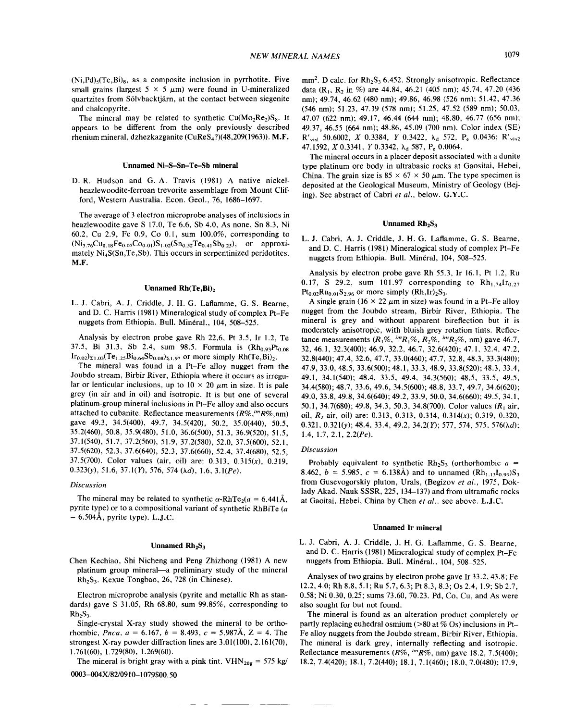$(Ni, Pd)$ <sub>5</sub> $(Te, Bi)$ <sub>8</sub>, as a composite inclusion in pyrrhotite. Five small grains (largest  $5 \times 5 \mu m$ ) were found in U-mineralized quartzites from Solvbacktjarn, at the contact between siegenite and chalcopyrite.

The mineral may be related to synthetic  $Cu(Mo<sub>2</sub>Re<sub>2</sub>)S<sub>8</sub>$ . It appears to be different from the only previously described rhenium mineral, dzhezkazganite  $(CuRes<sub>4</sub>?)$ (48,209(1963)). M.F.

#### Unnamed Ni-S-Sn-Te-Sb mineral

D. R. Hudson and G. A. Travis (1981) A native nickelheazlewoodite-ferroan trevorite assemblage from Mount Clifford, Western Australia. Econ. Geol., 76, 1686-1697.

The average of 3 electron microprobe analyses of inclusions in heazlewoodite gave S 17.0, Te 6.6, Sb 4.0, As none, Sn 8.3, Ni 60.2, Cu 2.9, Fe 0.9, Co 0.1, sum 100.0%, corresponding to  $(Ni_{3.76}Cu_{0.18}Fe_{0.05}Co_{0.01})S_{1.02}(Sn_{0.52}Te_{0.41}Sb_{0.25})$ , or approximately Ni<sub>4</sub>S(Sn,Te,Sb). This occurs in serpentinized peridotites. M.F.

### Unnamed Rh(Te, Bi)<sub>2</sub>

L. J. Cabri, A. J. Criddle, J. H. G. Laflamme, G. S. Bearne, and D. C. Harris (1981) Mineralogical study of complex Pt-Fe nuggets from Ethiopia. Bull. Minéral., 104, 508-525.

Analysis by electron probe gave Rh 22,6, Pt 3.5, Ir 1.2, Te 37.5, Bi 31.3, Sb 2.4, sum 98.5. Formula is  $(Rh_{0.93}Pt_{0.08})$  $Ir_{0.02}z_{1.03}(Te_{1.25}Bi_{0.64}Sb_{0.08}z_{1.97}$  or more simply Rh(Te,Bi)<sub>2</sub>.

The mineral was found in a Pt-Fe alloy nugget from the Joubdo stream, Birbir River, Ethiopia where it occurs as irregular or lenticular inclusions, up to  $10 \times 20 \mu m$  in size. It is pale grey (in air and in oil) and isotropic. It is but one of several platinum-group mineral inclusions in Pt-Fe alloy and also occurs attached to cubanite. Reflectance measurements *(R%,imR%,nm)* gave 49.3, 34.5(400), 49.7, 34.5(420), 50.2, 35.0(440), 50.5, 35.2(460), 50.8, 35.9(480), 51.0, 36.6(500), 51.3, 36.9(520), 51.5, 37.1(540), 51.7, 37.2(560), 51.9, 37.2(580), 52.0, 37.5(600), 52.1, 37.5(620),52.3, 37.6(640), 52.3, 37.6(660),52.4, 37.4(680), 52.5, 37.5(700). Color values (air, oil) are: 0.313, 0.315(x), 0.319, *0.3230'),51.6,* 37.1(Y), 576, 574 (Ad), 1.6, *3.I(Pe).*

#### *Discussion*

The mineral may be related to synthetic  $\alpha$ -RhTe<sub>2</sub>( $a = 6.441\text{\AA}$ , pyrite type) or to a compositional variant of synthetic RhBiTe *(a*  $= 6.504\text{\AA}$ , pyrite type). **L.J.C.** 

### Unnamed  $Rh_2S_3$

Chen Kechiao, Shi Nicheng and Peng Zhizhong (1981) A new platinum group mineral-a preliminary study of the mineral RhzS3. Kexue Tongbao, 26, 728 (in Chinese).

Electron microprobe analysis (pyrite and metallic Rh as standards) gave S 31.05, Rh 68.80, sum 99.85%, corresponding to  $Rh<sub>2</sub>S<sub>3</sub>$ .

Single-crystal X-ray study showed the mineral to be orthorhombic, *Pnca*,  $a = 6.167$ ,  $b = 8.493$ ,  $c = 5.987$ Å,  $Z = 4$ . The strongest X-ray powder diffraction lines are 3.01(100), 2.161(70), 1.761(60), 1.729(80), 1.269(60).

The mineral is bright gray with a pink tint.  $VHN_{20g} = 575$  kg/

0003-004X/82/0910-1079\$00.50

 $mm<sup>2</sup>$ . D calc. for  $Rh<sub>2</sub>S<sub>3</sub>$  6.452. Strongly anisotropic. Reflectance data (R<sub>1</sub>, R<sub>2</sub> in %) are 44.84, 46.21 (405 nm); 45.74, 47.20 (436) nm); 49.74, 46.62 (480 nm); 49.86, 46.98 (526 nm); 51.42, 47.36 (546 nm); 51.23, 47.19 (578 nm); 51.25, 47.52 (589 nm); 50.03, 47.07 (622 nm); 49.17, 46.44 (644 nm); 48.80, 46.77 (656 nm); 49.37,46.55 (664 nm); 48.86, 45.09 (700 nm). Color index (SE) R'visl 50.6002, *X* 0.3384, *Y* 0.3422, Ad 572, Pe 0.0436; R'visZ *47.1592, X* 0.3341, *Y* 0.3342, Ad 587, Pe 0.0064.

The mineral occurs in a placer deposit associated with a dunite type platinum ore body in ultrabasic rocks at Gaositai, Hebei, China. The grain size is  $85 \times 67 \times 50 \mu$ m. The type specimen is deposited at the Geological Museum, Ministry of Geology (Bejing). See abstract of Cabri *et al.*, below. G.Y.C.

#### Unnamed  $Rh<sub>2</sub>S<sub>3</sub>$

L. J. Cabri, A. J. Criddle, J. H. G. Laflamme, G. S. Bearne, and D. C. Harris (1981) Mineralogical study of complex Pt-Fe nuggets from Ethiopia. Bull. Minéral, 104, 508-525.

Analysis by electron probe gave Rh 55.3, Ir 16.1, Pt 1.2, Ru 0.17, S 29.2, sum 101.97 corresponding to  $Rh_{1.74}Ir_{0.27}$  $Pt_{0.02}Ru_{0.01}S_{2.96}$  or more simply  $(Rh, Ir)_2S_3$ .

A single grain (16  $\times$  22  $\mu$ m in size) was found in a Pt-Fe alloy nugget from the Joubdo stream, Birbir River, Ethiopia. The mineral is grey and without apparent bireflection but it is moderately anisotropic, with bluish grey rotation tints. Reflectance measurements  $(R_1\%, {}^{im}R_1\%, R_2\%, {}^{im}R_2\%, \text{ nm})$  gave 46.7, 32,46.1,32.3(400); 46.9,32.2,46.7,32.6(420); 47.1,32.4,47.2, 32.8(440); 47.4,32.6,47.7,33.0(460); 47.7,32.8,48.3,33.3(480); 47.9,33.0,48.5,33.6(500); 48.1, 33.3, 48.9,33.8(520); 48.3,33.4, 49.1, 34.1(540); 48.4, 33.5, 49.4, 34.3(560); 48.5, 33.5, 49.5, 34.4(580); 48.7,33.6,49.6,34.5(600); 48.8,33.7,49.7,34.6(620); 49.0,33.8,49.8,34.6(640); 49.2, 33.9, 50.0, 34.6(660); 49.5, 34.1, 50.1, 34.7(680); 49.8, 34.3, 50.3, 34.8(700). Color values *(R<sub>1</sub>* air, oil,  $R_2$  air, oil) are: 0.313, 0.313, 0.314, 0.314(x); 0.319, 0.320, 0.321, 0.321(y); 48.4, 33.4, 49.2, 34.2(Y); 577, 574, 575, 576( $\lambda d$ ); *1.4,1.7,2.1,2.2(Pe).*

# *Discussion*

Probably equivalent to synthetic  $Rh_2S_3$  (orthorhombic  $a =$ 8.462,  $b = 5.985$ ,  $c = 6.138$ Å) and to unnamed  $(Rh_{1,13}I_{0.93})S_3$ from Gusevogorskiy pluton, Urals, (Begizov et al., 1975, Doklady Akad. Nauk SSSR, 225, 134-137) and from ultramafic rocks at Gaoitai, Hebei, China by Chen et al., see above. L.J.C.

# Unnamed **Ir** mineral

L. J. Cabri, A. J. Criddle, J. H. G. Laflamme, G. S. Bearne, and D. C. Harris (1981) Mineralogical study of complex Pt-Fe nuggets from Ethiopia. Bull. Minéral., 104, 508-525.

Analyses of two grains by electron probe gave Ir 33.2, 43.8; Fe 12.2,4.0; Rh 8.8, 5.1; Ru 5.7,6.3; Pt 8.3,8.3; Os 2.4,1.9; Sb 2.7, 0.58; Ni 0.30, 0.25; sums 73.60,70.23. Pd, Co, Cu, and As were also sought for but not found.

The mineral is found as an alteration product completely or partly replacing euhedral osmium ( $>80$  at % Os) inclusions in Pt-Fe alloy nuggets from the Joubdo stream, Birbir River, Ethiopia. The mineral is dark grey, internally reflecting and isotropic. Reflectance measurements *(R%, imR%,* nm) gave 18.2,7.5(400); 18.2,7.4(420); 18.1,7.2(440); 18.1,7.1(460); 18.0.7.0(480); 17.9,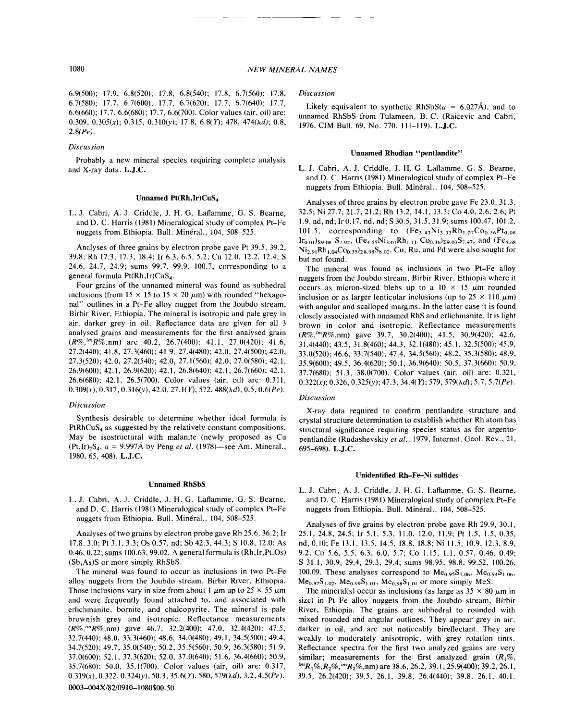6.9(500); 17.9, 6.8(520); 17.8, 6.8(540); 17.8, 6.7(560); 17.8, 6.7(580); 17.7, 6.7(600); 17.7, 6.7(620); 17.7, 6.7(640); 17.7, 6.6(660); 17.7,6.6(680); 17.7,6.6(700). Color values (air, oil) are: *0.309, 0.305(x);* 0.315, 0.310(y); 17.8, *6.8(Y);* 478, *474(Ad); 0.8, 2.8(Pe).*

# *Discussion*

Probably a new mineral species requiring complete analysis and X-ray data. L.J.c.

# Unnamed Pt(Rh,Ir)CuS<sub>4</sub>

L. J. Cabri, A. J. Criddle, J. H. G. Laflamme, G. S. Bearne, and D. C. Harris (1981) Mineralogical study of complex Pt-Fe nuggets from Ethiopia. Bull. Minéral., 104, 508-525.

Analyses of three grains by electron probe gave Pt 39.5, 39.2, 39.8; Rh 17.3, 17.3, 18.4; Ir 6.3, 6.5, 5.2; Cu 12.0, 12.2, 12.4; S 24.6, 24.7, 24.9; sums 99.7, 99.9, 100.7, corresponding to a general formula Pt(Rh,Ir)CuS<sub>4</sub>.

Four grains of the unnamed mineral was found as subhedral inclusions (from 15  $\times$  15 to 15  $\times$  20  $\mu$ m) with rounded "hexagonal" outlines in a Pt-Fe alloy nugget from the Joubdo stream, Birbir River, Ethiopia. The mineral is isotropic and pale grey in air, darker grey in oil. Reflectance data are given for all 3 analysed grains and measurements for the first analysed grain *(R%,imR%,nm)* are 40.2, 26.7(400); 41.1, 27.0(420); 41.6, 27.2(440); 41.8, 27.3(460); 41.9, 27.4(480); 42.0, 27.4(500); 42.0, 27.3(520); 42.0, 27.2(540); 42.0, 27.1(560); 42.0,27.0(580); 42.1, 26.9(600); 42.1, 26.9(620); 42.1,26.8(640); 42.1,26.7(660); 42.1, 26.6(680); 42.1, 26.5(700). Color values (air, oil) are: 0.311, *0.309(x),* 0.317, 0.316(y), 42.0, 27.1(Y), 572, 488(Ad), 0.5, *0.6(Pe).*

# *Discussion*

Synthesis desirable to determine whether ideal formula is  $PtRhCuS<sub>4</sub>$  as suggested by the relatively constant compositions. May be isostructural with malanite (newly proposed as Cu  $(Pt,Ir)_2S_4$ ,  $a = 9.997A$  by Peng *et al.* (1978)—see Am. Mineral. 1980, 65, 408). L.J.C.

# Unnamed RhSbS

L. J. Cabri, A. J. Criddle, J. H. G. Laflamme, G. S. Bearne, and D. C. Harris (1981) Mineralogical study of complex Pt-Fe nuggets from Ethiopia. Bull. Minéral., 104, 508-525.

Analyses of two grains by electron probe gave Rh 25.6,36.2; Ir 17.8,3.0; Pt 3.1, 3.3; Os 0.57, nd; Sb 42.3,44.3; S 10.8, 12.0; As 0.46,0.22; sums 100.63,99.02. A general formula is (Rh,Ir,Pt,Os) (Sb,As)S or more simply RhSbS.

The mineral was found to occur as inclusions in two Pt-Fe alloy nuggets from the Joubdo stream, Birbir River, Ethiopia. Those inclusions vary in size from about 1  $\mu$ m up to 25 × 55  $\mu$ m and were frequently found attached to, and associated with erlichmanite, bornite, and chalcopyrite. The mineral is pale brownish grey and isotropic. Reflectance measurements *(R%:mR%,nm)* gave 46.7, 32.2(400); 47.0, 32.4(420); 47.5, 32.7(440); 48.0, 33.3(460); 48.6, 34.0(480); 49.1, 34.5(500); 49.4, 34.7(520); 49.7,35.0(540); 50.2, 35.5(560); 50.9, 36.3(580); 51.9, 37.0(600); 52.1, 37.3(620); 52.0, 37.0(640); 51.6, 36.4(660); 50.9, 35.7(680); 50.0, 35.1(700). Color values (air, oil) are: 0.3]7, *0.319(x),* 0.322, *0.324(y),* 50.3, *35.6(Y),* 580, 579(Ad), 3.2, *4.5(Pe).*

# *Discussion*

Likely equivalent to synthetic  $RhSbS(a = 6.027\text{\AA})$ , and to unnamed RhSbS from Tulameen, B. C. (Raicevic and Cabri, 1976, CIM Bull. 69, No. 770, 111-119). L.J.C.

# Unnamed Rhodian "pentlandite"

L. J. Cabri, A. J. Criddle, J. H. G. Laflamme, G. S. Bearne, and D. C. Harris (1981) Mineralogical study of complex Pt-Fe nuggets from Ethiopia. Bull. Minéral., 104, 508–525.

Analyses of three grains by electron probe gave Fe 23.0, 31.3, 32.5; Ni 27.7,21.7,21.2; Rh 13.2, 14.1, 13.3; Co 4.0,2.6,2.6; Pt 1.9, nd, nd; Ir 0.17, nd, nd; S 30.5, 31.5, 31.9; sums 100.47, 101.2, 101.5, corresponding to  $(Fe_{3.43}Ni_{3.93}Rh_{1.07}Co_{0.56}Pt_{0.08})$  $[r_{0.01}]_{\Sigma9.08}$  S<sub>7.92</sub>, (Fe<sub>4.55</sub>Ni<sub>3.01</sub>Rh<sub>1.11</sub> Co<sub>0.36</sub>)<sub>29.03</sub>S<sub>7.97</sub>, and (Fe<sub>4.68</sub>)  $Ni_{2.91}Rh_{1.04}Co_{0.35}S_{8.98}S_{8.02}$ . Cu, Ru, and Pd were also sought for but not found.

The mineral was found as inclusions in two Pt-Fe alloy nuggets from the Joubdo stream, Birbir River, Ethiopia where it occurs as micron-sized blebs up to a 10  $\times$  15  $\mu$ m rounded inclusion or as larger lenticular inclusions (up to  $25 \times 110 \ \mu m$ ) with angular and scalloped margins. In the latter case it is found closely associated with unnamed RhS and erlichmanite. It is light brown in color and isotropic. Reflectance measurements *(R%,imR%,nm)* gave 39.7, 30.2(400); 41.5, 30.9(420); 42.6, 31.4(440); 43.5,31.8(460); 44.3,32.1(480); 45.1,32.5(500); 45.9, 33.0(520); 46.6, 33.7(540); 47.4, 34.5(560); 48.2, 35.3(580); 48.9, 35.9(600); 49.5,36.4(620); 50.1,36.9(640); 50.5, 37.3(660); 50.9, 37.7(680); 51.3, 38.0(700). Color values (air, oil) are: 0.321, *0.322(x);* 0.326, *0.325(y);* 47.3, *34.4(Y);* 579, 579(Ad); 5.7, *5.7(Pe).*

# *Discussion*

X-ray data required to confirm pentlandite structure and crystal structure determination to establish whether Rh atom has structural significance requiring species status as for argentopentlandite (Rudashevskiy et al., 1979, Internat. Geol. Rev., 21, 695-698). L.J.C.

### Unidentified Rh-Fe-Ni sulfides

L. J. Cabri, A. J. Criddle, J. H. G. Laflamme, G. S. Bearne, and D. C. Harris (1981) Mineralogical study of complex Pt-Fe nuggets from Ethiopia. Bull. Minéral., 104, 508-525.

Analyses of five grains by electron probe gave Rh 29.9, 30.1, 25.1,24.8,24.5; Ir 5.1,5.3, 11.0, 12.0, 11.9; Pt 1.5, 1.5,0.35, nd, 0.10; Fe 13.1, 13.5, 14.5, 18.8, 18.8; Ni 11.5, 10.9, 12.3, 8.9, 9.2; Cu 5.6, 5.5, 6.3, 6.0, 5.7; Co 1.15, 1.1, 0.57, 0.46, 0.49; S 31.1, 30.9, 29.4, 29.3, 29.4; sums 98.95, 98.8, 99.52, 100.26, 100.09. These analyses correspond to  $Me_{0.95}S_{1.06}$ ,  $Me_{0.94}S_{1.06}$ ,  $Me_{0.97}S_{1.02}$ ,  $Me_{0.99}S_{1.01}$ ,  $Me_{0.98}S_{1.01}$  or more simply MeS.

The mineral(s) occur as inclusions (as large as  $35 \times 80 \ \mu m$  in size) in Pt-Fe alloy nuggets from the Joubdo stream, Birbir River, Ethiopia. The grains are subhedral to rounded with mixed rounded and angular outlines. They appear grey in air, darker in oil, and are not noticeably bireflectant. They are weakly to moderately anisotropic, with grey rotation tints. Reflectance spectra for the first two analyzed grains are very similar; measurements for the first analyzed grain *(R1%, imR,%,R2%,imR2%,nm)* are 38.6, 26.2, 39.1,25.9(400); 39.2, 26.1, 39.5, 26.2(420); 39.5, 26.1, 39.8, 26.4(440); 39.8, 26.1, 40.1,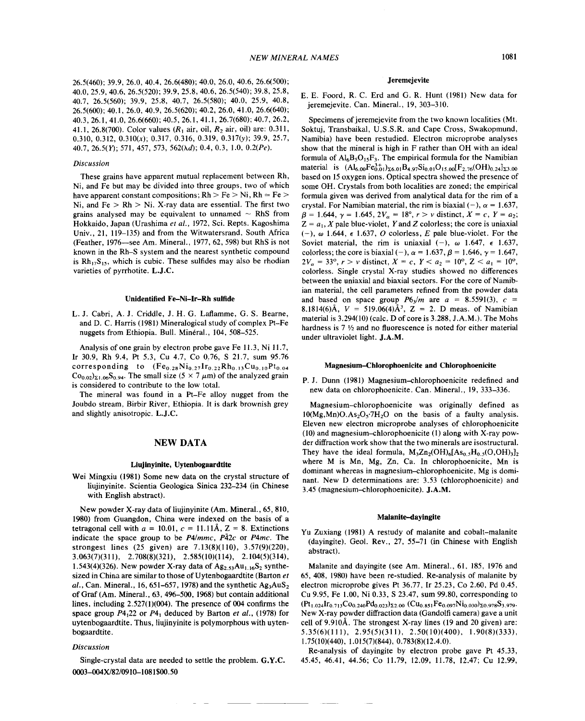26.5(460); 39.9, 26.0, 40.4, 26.6(480); 40.0, 26.0, 40.6, 26.6(500); 40.0,25.9,40.6,26.5(520); 39.9, 25.8, 40.6, 26.5(540); 39.8, 25.8, 40.7, 26.5(560); 39.9, 25.8, 40.7, 26.5(580); 40.0, 25.9, 40.8, 26.5(600); 40.1,26.0,40.9,26.5(620); 40.2, 26.0, 41.0, 26.6(640); 40.3,26.1,41.0,26.6(660); 40.5, 26.1, 41.1, 26.7(680); 40.7, 26.2, 41.1,26.8(700). Color values *(R1* air, oil, *R2* air, oil) are: 0.311, *0.310,0.312, 0.310(x);* 0.317, 0.316, 0.319, *0.317(y);* 39.9, 25.7, 40.7,26.5(1'); 571, 457, 573, 562(Ad); 0.4, 0.3, 1.0, *0.2(Pe).*

# *Discussion*

These grains have apparent mutual replacement between Rh, Ni, and Fe but may be divided into three groups, two of which have apparent constant compositions;  $Rh > Fe > Ni$ ,  $Rh = Fe >$ Ni, and  $Fe > Rh > Ni$ . X-ray data are essential. The first two grains analysed may be equivalent to unnamed  $\sim$  RhS from Hokkaido, Japan (Urashima et al., 1972, Sci. Repts. Kagoshima Univ., 21, 119-135) and from the Witwatersrand, South Africa (Feather, 1976—see Am. Mineral., 1977, 62, 598) but RhS is not known in the Rh-S system and the nearest synthetic compound is  $Rh_{17}S_{15}$ , which is cubic. These sulfides may also be rhodian varieties of pyrrhotite. L.J.C.

# Unidentified Fe-Ni-Ir-Rh sulfide

L. 1. Cabri, A. J. Criddle, J. H. G. Laflamme, G. S. Bearne, and D. C. Harris (1981) Mineralogical study of complex Pt-Fe nuggets from Ethiopia. Bull. Minéral., 104, 508-525.

Analysis of one grain by electron probe gave Fe 11.3, Ni 11.7, Ir 30.9, Rh 9.4, Pt 5.3, Cu 4.7, Co 0.76, S 21.7, sum 95.76 corresponding to  $(Fe_{0.28}Ni_{0.27}Ir_{0.22}Rh_{0.13}Cu_{0.10}Pt_{0.04}$  $Co_{0.02}$ <sub>21.06</sub>S<sub>0.94</sub>. The small size (5  $\times$  7  $\mu$ m) of the analyzed grain is considered to contribute to the low total.

The mineral was found in a Pt-Fe alloy nugget from the Joubdo stream, Birbir River, Ethiopia. It is dark brownish grey and slightly anisotropic. L.J.C.

# NEW DATA

### Liujinyinite, Uytenbogaardtite

Wei Mingxiu (1981) Some new data on the crystal structure of 1iujinyinite. Scientia Geologica Sinica 232-234 (in Chinese with English abstract).

New powder X-ray data of liujinyinite (Am. Mineral., 65, 810, 1980) from Guangdon, China were indexed on the basis of a tetragonal cell with  $a = 10.01$ ,  $c = 11.11\text{\AA}$ ,  $Z = 8$ . Extinctions indicate the space group to be *P4/mmc, P42c* or *P4mc.* The strongest lines (25 given) are 7.13(8)(110), 3.57(9)(220), 3.063(7)(311), 2.708(8)(321), 2.585(10)(114), 2.104(5)(314), 1.543(4)(326). New powder X-ray data of  $Ag_{2.53}Au_{1.16}S_2$  synthesized in China are similar to those of Uytenbogaardtite (Barton *et*  $al.$ , Can. Mineral., 16, 651–657, 1978) and the synthetic  $Ag<sub>3</sub>AuS<sub>2</sub>$ of Graf (Am. Mineral., 63, 496-500, 1968) but contain additional lines, including 2.527(1)(004). The presence of 004 confirms the space group  $P4_122$  or  $P4_1$  deduced by Barton *et al.*, (1978) for uytenbogaardtite. Thus, liujinyinite is polymorphous with uytenbogaardtite.

#### *Discussion*

Single-crystal data are needed to settle the problem. G.Y.C. 0003-004X/82/0910-1081\$00.50

# Jeremejevite

# E. E. Foord, R. C. Erd and G. R. Hunt (1981) New data for jeremejevite. Can. Mineral., 19, 303-310.

Specimens of jeremejevite from the two known localities (Mt. Soktuj, Transbaikal, U.S.S.R. and Cape Cross, Swakopmund, Namibia) have been restudied. Electron microprobe analyses show that the mineral is high in F rather than OH with an ideal formula of  $Al_6B_5O_{15}F_3$ . The empirical formula for the Namibian material is  $(AI_{6.00}Fe_{0.01}^{3+})_{\Sigma 6.01}B_{4.97}Si_{0.01}O_{15.00}F_{2.76}(OH)_{0.24}I_{\Sigma 3.00}$ based on 15 oxygen ions. Optical spectra showed the presence of some OH. Crystals from both localities are zoned; the empirical formula given was derived from analytical data for the rim of a crystal. For Namibian material, the rim is biaxial  $(-)$ ,  $\alpha = 1.637$ ,  $\beta = 1.644, \gamma = 1.645, 2V_{\alpha} = 18^{\circ}, r > v$  distinct,  $X = c, Y = a_2$  $Z = a_1$ , *X* pale blue-violet, *Y* and *Z* colorless; the core is uniaxial  $(-), \omega$  1.644,  $\epsilon$  1.637, O colorless, E pale blue-violet. For the Soviet material, the rim is uniaxial  $(-)$ ,  $\omega$  1.647,  $\epsilon$  1.637. colorless; the core is biaxial (-),  $\alpha = 1.637$ ,  $\beta = 1.646$ ,  $\gamma = 1.647$ ,  $2V_{\alpha} = 33^{\circ}, r > v$  distinct,  $X = c, Y < a_2 = 10^{\circ}, Z < a_1 = 10^{\circ}$ , colorless. Single crystal X-ray studies showed no differences between the uniaxial and biaxial sectors. For the core of Namibian material, the cell parameters refined from the powder data and based on space group  $P6_3/m$  are  $a = 8.5591(3)$ ,  $c =$ 8.1814(6) $\AA$ ,  $V = 519.06(4)\AA^3$ ,  $Z = 2$ . D meas. of Namibia material is 3.294(10) (calc. D of core is 3.288, J.A.M.). The Mohs hardness is  $7 \frac{1}{2}$  and no fluorescence is noted for either material under ultraviolet light. J.A.M.

# Magnesium-Chlorophoenicite and Chlorophoenicite

P. J. Dunn (1981) Magnesium-chlorophoenicite redefined and new data on chlorophoenicite. Can. Mineral., 19,333-336.

Magnesium-chlorophoenicite was originally defined as  $10(Mg, Mn)O, As<sub>2</sub>O<sub>5</sub>·7H<sub>2</sub>O$  on the basis of a faulty analysis. Eleven new electron microprobe analyses of chlorophoenicite (10) and magnesium-chlorophoenicite (1) along with X-ray powder diffraction work show that the two minerals are isostructural. They have the ideal formula,  $M_3Zn_2(OH)_6[As_0, H_0, (O, OH)_3]$ where M is Mn, Mg, Zn, Ca. In chlorophoenicite, Mn is dominant whereas in magnesium-chlorophoenicite, Mg is dominant. New D determinations are: 3.53 (chlorophoenicite) and 3.45 (magnesium-chlorophoenicite). J.A.M.

### Malanite-dayingite

Yu Zuxiang (1981) A restudy of malanite and cobalt-malanite (dayingite). Geol. Rev., 27, 55-71 (in Chinese with English abstract).

Malanite and dayingite (see Am. Mineral., 61, 185, 1976 and 65, 408, 1980) have been re-studied. Re-analysis of malanite by electron microprobe gives Pt 36.77, Ir 25.23, Co 2.60, Pd 0.45, Cu 9.95, Fe 1.00, Ni 0.33, S 23.47, sum 99.80, corresponding to  $(Pt_{1.024}Ir_{0.713}Co_{0.240}Pd_{0.023})_{\Sigma2.00}$   $(Cu_{0.851}Fe_{0.097}Ni_{0.030})_{\Sigma0.978}S_{3.979}.$ New X-ray powder diffraction data (Gandolfi camera) gave a unit cell of 9.910Å. The strongest X-ray lines (19 and 20 given) are: 5.35(6)(111), 2.95(5)(311), 2.50(10)(400), 1.90(8)(333), 1.75(10)(440), 1.015(7)(844),0.783(8)(12.4.0).

Re-analysis of dayingite by electron probe gave Pt 45.33, 45.45, 46.41, 44.56; Co 11.79, 12.09, 11.78, 12.47; Cu 12.99,